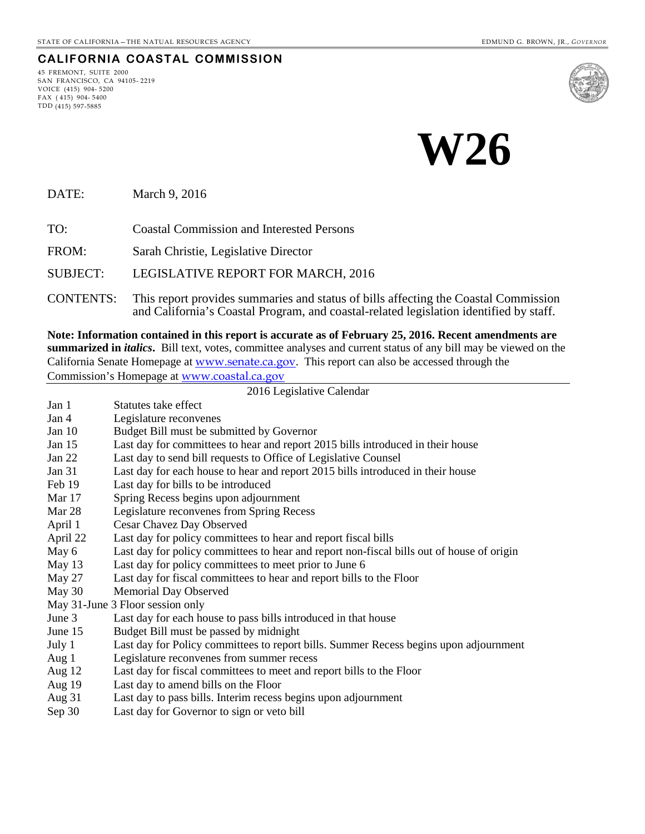## **CALIFORNIA COASTAL COMMISSION**

45 FREMONT, SUITE 2000 SAN FRANCISCO, CA 94105- 2219 VOICE (415) 904- 5200 FAX ( 415) 904- 5400 TDD (415) 597-5885



**W26**

DATE: March 9, 2016

TO: Coastal Commission and Interested Persons

FROM: Sarah Christie, Legislative Director

SUBJECT: LEGISLATIVE REPORT FOR MARCH, 2016

CONTENTS: This report provides summaries and status of bills affecting the Coastal Commission and California's Coastal Program, and coastal-related legislation identified by staff.

**Note: Information contained in this report is accurate as of February 25, 2016. Recent amendments are summarized in** *italics***.** Bill text, votes, committee analyses and current status of any bill may be viewed on the California Senate Homepage at [www.senate.ca.gov](http://www.senate.ca.gov/). This report can also be accessed through the Commission's Homepage at [www.coastal.ca.gov](http://www.coastal.ca.gov/)

#### 2016 Legislative Calendar Jan 1 Statutes take effect Jan 4 Legislature reconvenes Jan 10 Budget Bill must be submitted by Governor Jan 15 Last day for committees to hear and report 2015 bills introduced in their house Jan 22 Last day to send bill requests to Office of Legislative Counsel Jan 31 Last day for each house to hear and report 2015 bills introduced in their house Feb 19 Last day for bills to be introduced Mar 17 Spring Recess begins upon adjournment Mar 28 Legislature reconvenes from Spring Recess April 1 Cesar Chavez Day Observed April 22 Last day for policy committees to hear and report fiscal bills May 6 Last day for policy committees to hear and report non-fiscal bills out of house of origin May 13 Last day for policy committees to meet prior to June 6 May 27 Last day for fiscal committees to hear and report bills to the Floor May 30 Memorial Day Observed May 31-June 3 Floor session only June 3 Last day for each house to pass bills introduced in that house June 15 Budget Bill must be passed by midnight July 1 Last day for Policy committees to report bills. Summer Recess begins upon adjournment Aug 1 Legislature reconvenes from summer recess Aug 12 Last day for fiscal committees to meet and report bills to the Floor Aug 19 Last day to amend bills on the Floor Aug 31 Last day to pass bills. Interim recess begins upon adjournment Sep 30 Last day for Governor to sign or veto bill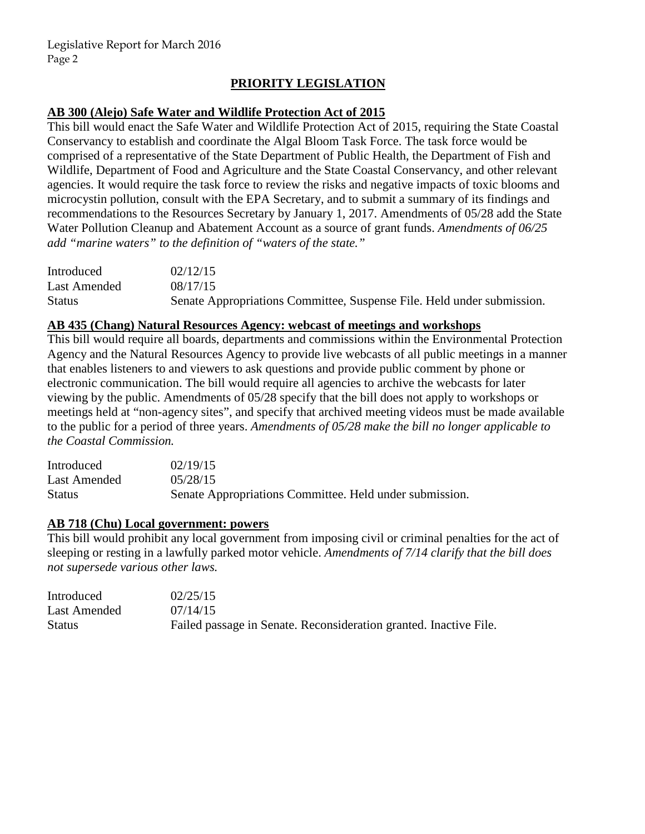# **PRIORITY LEGISLATION**

## **AB 300 (Alejo) Safe Water and Wildlife Protection Act of 2015**

This bill would enact the Safe Water and Wildlife Protection Act of 2015, requiring the State Coastal Conservancy to establish and coordinate the Algal Bloom Task Force. The task force would be comprised of a representative of the State Department of Public Health, the Department of Fish and Wildlife, Department of Food and Agriculture and the State Coastal Conservancy, and other relevant agencies. It would require the task force to review the risks and negative impacts of toxic blooms and microcystin pollution, consult with the EPA Secretary, and to submit a summary of its findings and recommendations to the Resources Secretary by January 1, 2017. Amendments of 05/28 add the State Water Pollution Cleanup and Abatement Account as a source of grant funds. *Amendments of 06/25 add "marine waters" to the definition of "waters of the state."* 

| Introduced    | 02/12/15                                                               |
|---------------|------------------------------------------------------------------------|
| Last Amended  | 08/17/15                                                               |
| <b>Status</b> | Senate Appropriations Committee, Suspense File. Held under submission. |

### **AB 435 (Chang) Natural Resources Agency: webcast of meetings and workshops**

This bill would require all boards, departments and commissions within the Environmental Protection Agency and the Natural Resources Agency to provide live webcasts of all public meetings in a manner that enables listeners to and viewers to ask questions and provide public comment by phone or electronic communication. The bill would require all agencies to archive the webcasts for later viewing by the public. Amendments of 05/28 specify that the bill does not apply to workshops or meetings held at "non-agency sites", and specify that archived meeting videos must be made available to the public for a period of three years. *Amendments of 05/28 make the bill no longer applicable to the Coastal Commission.* 

| Introduced   | 02/19/15                                                |
|--------------|---------------------------------------------------------|
| Last Amended | 05/28/15                                                |
| Status       | Senate Appropriations Committee. Held under submission. |

### **AB 718 (Chu) Local government: powers**

This bill would prohibit any local government from imposing civil or criminal penalties for the act of sleeping or resting in a lawfully parked motor vehicle. *Amendments of 7/14 clarify that the bill does not supersede various other laws.* 

| Introduced    | 02/25/15                                                          |
|---------------|-------------------------------------------------------------------|
| Last Amended  | 07/14/15                                                          |
| <b>Status</b> | Failed passage in Senate. Reconsideration granted. Inactive File. |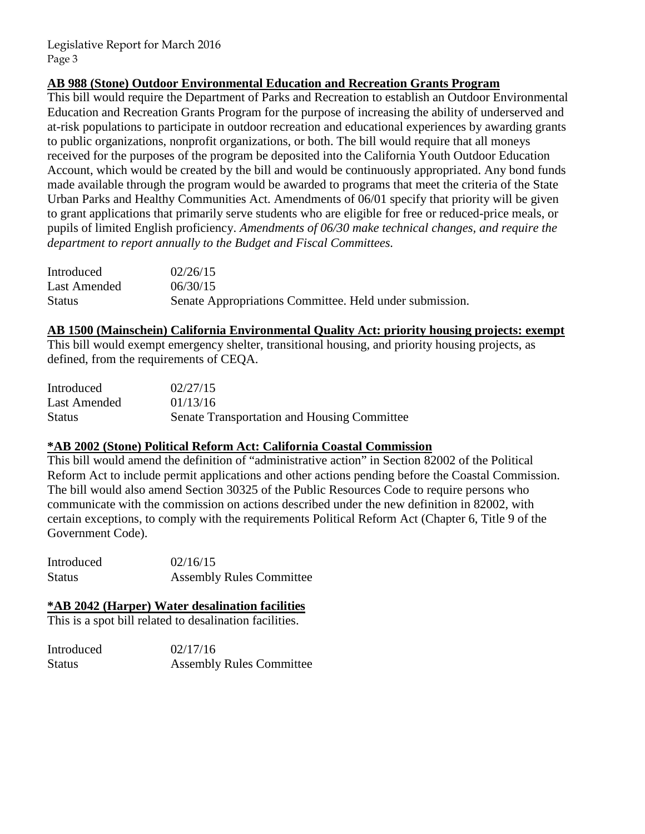## **AB 988 (Stone) Outdoor Environmental Education and Recreation Grants Program**

This bill would require the Department of Parks and Recreation to establish an Outdoor Environmental Education and Recreation Grants Program for the purpose of increasing the ability of underserved and at-risk populations to participate in outdoor recreation and educational experiences by awarding grants to public organizations, nonprofit organizations, or both. The bill would require that all moneys received for the purposes of the program be deposited into the California Youth Outdoor Education Account, which would be created by the bill and would be continuously appropriated. Any bond funds made available through the program would be awarded to programs that meet the criteria of the State Urban Parks and Healthy Communities Act. Amendments of 06/01 specify that priority will be given to grant applications that primarily serve students who are eligible for free or reduced-price meals, or pupils of limited English proficiency. *Amendments of 06/30 make technical changes, and require the department to report annually to the Budget and Fiscal Committees.* 

| Introduced    | 02/26/15                                                |
|---------------|---------------------------------------------------------|
| Last Amended  | 06/30/15                                                |
| <b>Status</b> | Senate Appropriations Committee. Held under submission. |

#### **AB 1500 (Mainschein) California Environmental Quality Act: priority housing projects: exempt**

This bill would exempt emergency shelter, transitional housing, and priority housing projects, as defined, from the requirements of CEQA.

| Introduced    | 02/27/15                                    |
|---------------|---------------------------------------------|
| Last Amended  | 01/13/16                                    |
| <b>Status</b> | Senate Transportation and Housing Committee |

### **\*AB 2002 (Stone) Political Reform Act: California Coastal Commission**

This bill would amend the definition of "administrative action" in Section 82002 of the Political Reform Act to include permit applications and other actions pending before the Coastal Commission. The bill would also amend Section 30325 of the Public Resources Code to require persons who communicate with the commission on actions described under the new definition in 82002, with certain exceptions, to comply with the requirements Political Reform Act (Chapter 6, Title 9 of the Government Code).

Introduced  $02/16/15$ Status Assembly Rules Committee

### **\*AB 2042 (Harper) Water desalination facilities**

This is a spot bill related to desalination facilities.

| Introduced | 02/17/16                        |
|------------|---------------------------------|
| Status     | <b>Assembly Rules Committee</b> |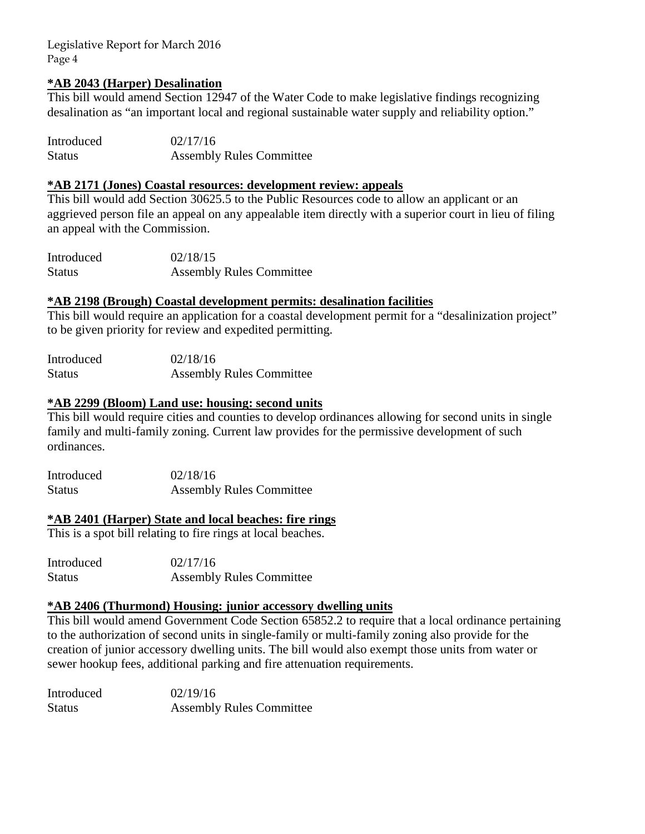#### **\*AB 2043 (Harper) Desalination**

This bill would amend Section 12947 of the Water Code to make legislative findings recognizing desalination as "an important local and regional sustainable water supply and reliability option."

| Introduced    | 02/17/16                        |
|---------------|---------------------------------|
| <b>Status</b> | <b>Assembly Rules Committee</b> |

## **\*AB 2171 (Jones) Coastal resources: development review: appeals**

This bill would add Section 30625.5 to the Public Resources code to allow an applicant or an aggrieved person file an appeal on any appealable item directly with a superior court in lieu of filing an appeal with the Commission.

Introduced 02/18/15 Status Assembly Rules Committee

#### **\*AB 2198 (Brough) Coastal development permits: desalination facilities**

This bill would require an application for a coastal development permit for a "desalinization project" to be given priority for review and expedited permitting.

| Introduced    | 02/18/16                        |
|---------------|---------------------------------|
| <b>Status</b> | <b>Assembly Rules Committee</b> |

### **\*AB 2299 (Bloom) Land use: housing: second units**

This bill would require cities and counties to develop ordinances allowing for second units in single family and multi-family zoning. Current law provides for the permissive development of such ordinances.

| Introduced    | 02/18/16                        |
|---------------|---------------------------------|
| <b>Status</b> | <b>Assembly Rules Committee</b> |

### **\*AB 2401 (Harper) State and local beaches: fire rings**

This is a spot bill relating to fire rings at local beaches.

Introduced 02/17/16 Status Assembly Rules Committee

#### **\*AB 2406 (Thurmond) Housing: junior accessory dwelling units**

This bill would amend Government Code Section 65852.2 to require that a local ordinance pertaining to the authorization of second units in single-family or multi-family zoning also provide for the creation of junior accessory dwelling units. The bill would also exempt those units from water or sewer hookup fees, additional parking and fire attenuation requirements.

| Introduced | 02/19/16                        |
|------------|---------------------------------|
| Status     | <b>Assembly Rules Committee</b> |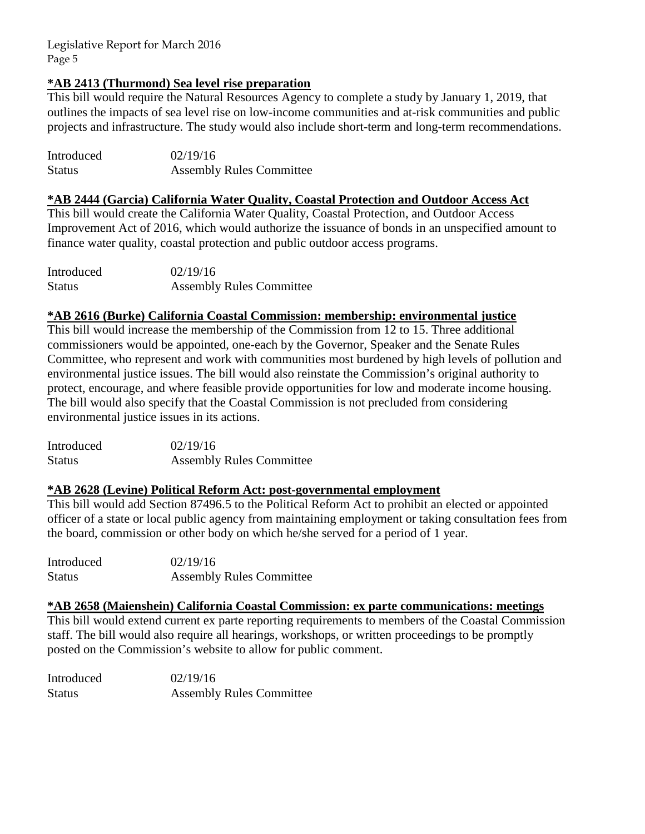# **\*AB 2413 (Thurmond) Sea level rise preparation**

This bill would require the Natural Resources Agency to complete a study by January 1, 2019, that outlines the impacts of sea level rise on low-income communities and at-risk communities and public projects and infrastructure. The study would also include short-term and long-term recommendations.

| Introduced    | 02/19/16                        |
|---------------|---------------------------------|
| <b>Status</b> | <b>Assembly Rules Committee</b> |

## **\*AB 2444 (Garcia) California Water Quality, Coastal Protection and Outdoor Access Act**

This bill would create the California Water Quality, Coastal Protection, and Outdoor Access Improvement Act of 2016, which would authorize the issuance of bonds in an unspecified amount to finance water quality, coastal protection and public outdoor access programs.

| Introduced    | 02/19/16                        |
|---------------|---------------------------------|
| <b>Status</b> | <b>Assembly Rules Committee</b> |

# **\*AB 2616 (Burke) California Coastal Commission: membership: environmental justice**

This bill would increase the membership of the Commission from 12 to 15. Three additional commissioners would be appointed, one-each by the Governor, Speaker and the Senate Rules Committee, who represent and work with communities most burdened by high levels of pollution and environmental justice issues. The bill would also reinstate the Commission's original authority to protect, encourage, and where feasible provide opportunities for low and moderate income housing. The bill would also specify that the Coastal Commission is not precluded from considering environmental justice issues in its actions.

Introduced 02/19/16 Status Assembly Rules Committee

### **\*AB 2628 (Levine) Political Reform Act: post-governmental employment**

This bill would add Section 87496.5 to the Political Reform Act to prohibit an elected or appointed officer of a state or local public agency from maintaining employment or taking consultation fees from the board, commission or other body on which he/she served for a period of 1 year.

| Introduced | 02/19/16                        |
|------------|---------------------------------|
| Status     | <b>Assembly Rules Committee</b> |

### **\*AB 2658 (Maienshein) California Coastal Commission: ex parte communications: meetings**

This bill would extend current ex parte reporting requirements to members of the Coastal Commission staff. The bill would also require all hearings, workshops, or written proceedings to be promptly posted on the Commission's website to allow for public comment.

| Introduced    | 02/19/16                        |
|---------------|---------------------------------|
| <b>Status</b> | <b>Assembly Rules Committee</b> |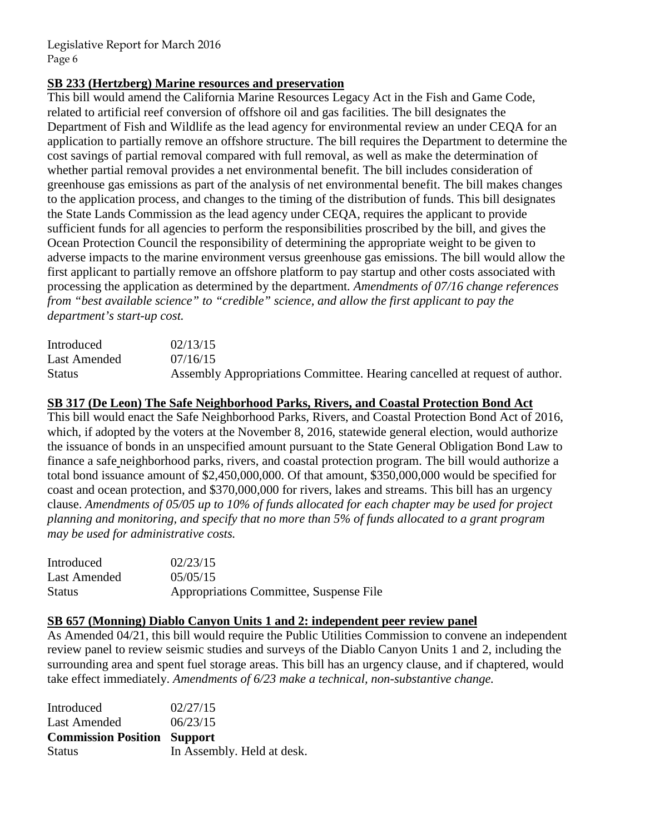# **SB 233 (Hertzberg) Marine resources and preservation**

This bill would amend the California Marine Resources Legacy Act in the Fish and Game Code, related to artificial reef conversion of offshore oil and gas facilities. The bill designates the Department of Fish and Wildlife as the lead agency for environmental review an under CEQA for an application to partially remove an offshore structure. The bill requires the Department to determine the cost savings of partial removal compared with full removal, as well as make the determination of whether partial removal provides a net environmental benefit. The bill includes consideration of greenhouse gas emissions as part of the analysis of net environmental benefit. The bill makes changes to the application process, and changes to the timing of the distribution of funds. This bill designates the State Lands Commission as the lead agency under CEQA, requires the applicant to provide sufficient funds for all agencies to perform the responsibilities proscribed by the bill, and gives the Ocean Protection Council the responsibility of determining the appropriate weight to be given to adverse impacts to the marine environment versus greenhouse gas emissions. The bill would allow the first applicant to partially remove an offshore platform to pay startup and other costs associated with processing the application as determined by the department*. Amendments of 07/16 change references from "best available science" to "credible" science, and allow the first applicant to pay the department's start-up cost.* 

| Introduced    | 02/13/15                                                                   |
|---------------|----------------------------------------------------------------------------|
| Last Amended  | 07/16/15                                                                   |
| <b>Status</b> | Assembly Appropriations Committee. Hearing cancelled at request of author. |

### **SB 317 (De Leon) The Safe Neighborhood Parks, Rivers, and Coastal Protection Bond Act**

This bill would enact the Safe Neighborhood Parks, Rivers, and Coastal Protection Bond Act of 2016, which, if adopted by the voters at the November 8, 2016, statewide general election, would authorize the issuance of bonds in an unspecified amount pursuant to the State General Obligation Bond Law to finance a safe neighborhood parks, rivers, and coastal protection program. The bill would authorize a total bond issuance amount of \$2,450,000,000. Of that amount, \$350,000,000 would be specified for coast and ocean protection, and \$370,000,000 for rivers, lakes and streams. This bill has an urgency clause. *Amendments of 05/05 up to 10% of funds allocated for each chapter may be used for project planning and monitoring, and specify that no more than 5% of funds allocated to a grant program may be used for administrative costs.* 

| Introduced    | 02/23/15                                |
|---------------|-----------------------------------------|
| Last Amended  | 05/05/15                                |
| <b>Status</b> | Appropriations Committee, Suspense File |

### **SB 657 (Monning) Diablo Canyon Units 1 and 2: independent peer review panel**

As Amended 04/21, this bill would require the Public Utilities Commission to convene an independent review panel to review seismic studies and surveys of the Diablo Canyon Units 1 and 2, including the surrounding area and spent fuel storage areas. This bill has an urgency clause, and if chaptered, would take effect immediately. *Amendments of 6/23 make a technical, non-substantive change.* 

| Introduced                         | 02/27/15                   |
|------------------------------------|----------------------------|
| <b>Last Amended</b>                | 06/23/15                   |
| <b>Commission Position Support</b> |                            |
| <b>Status</b>                      | In Assembly. Held at desk. |